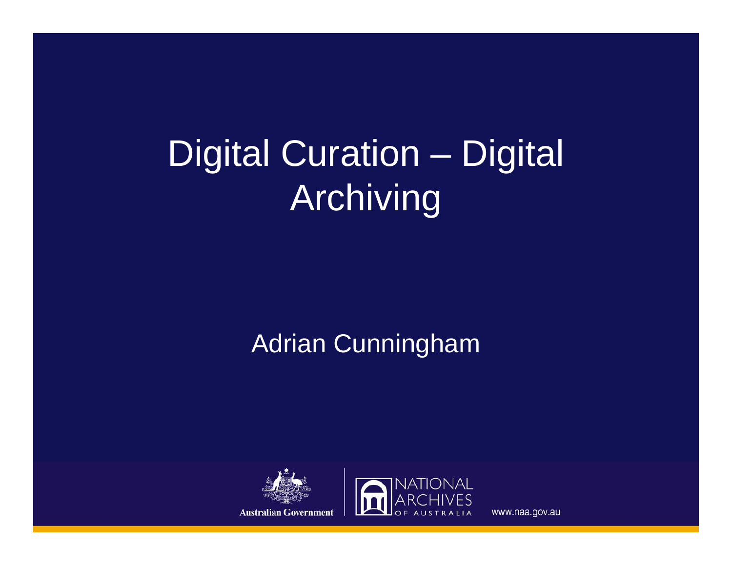#### Digital Curation – Digital Archiving

#### Adrian Cunningham



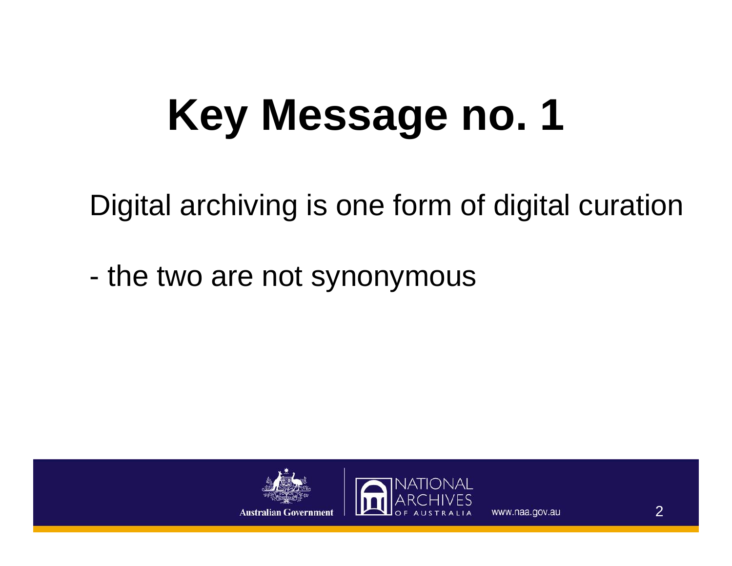## **Key Message no. 1**

Digital archiving is one form of digital curation

the two are not synonymous



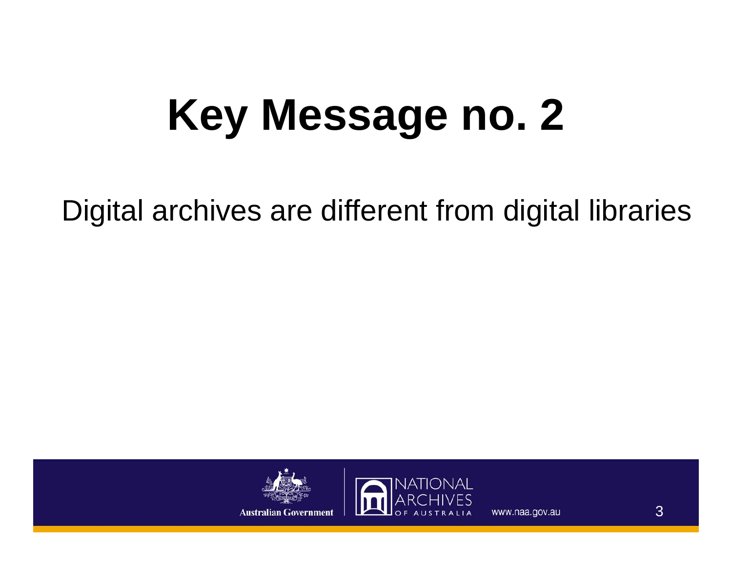## **Key Message no. 2**

Digital archives are different from digital libraries



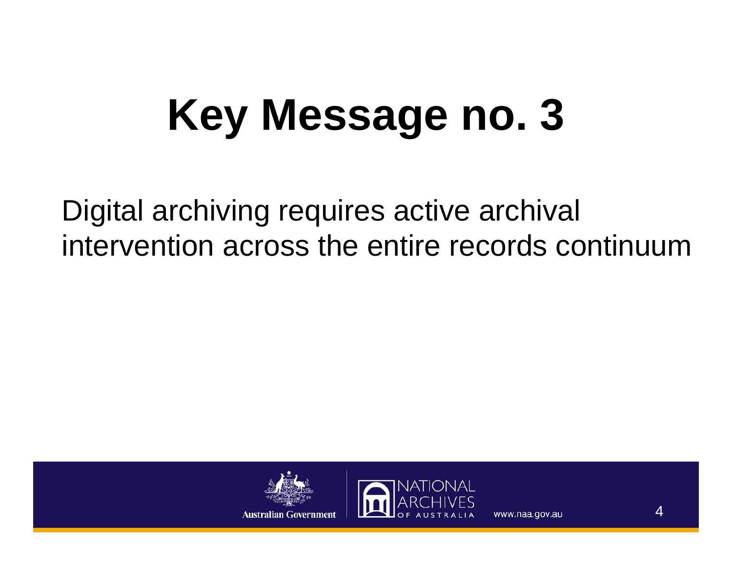## **Key Message no. 3**

Digital archiving requires active archival intervention across the entire records continuum



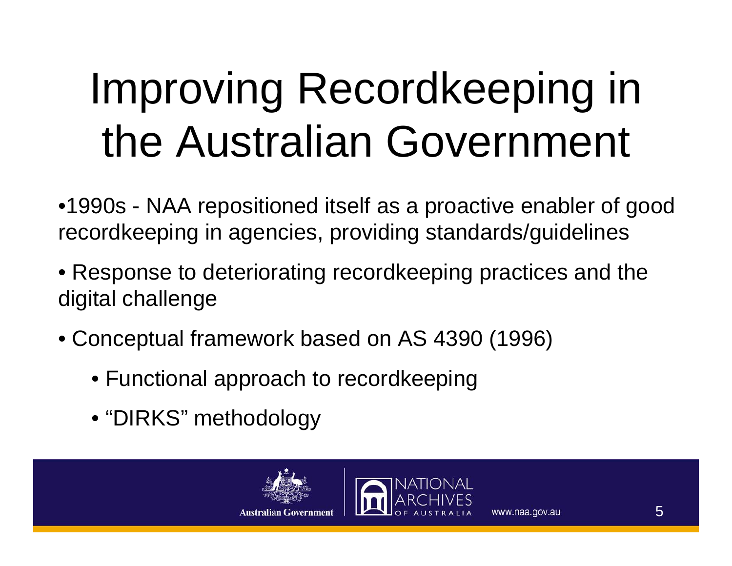## Improving Recordkeeping in the Australian Government

- •1990s NAA repositioned itself as a proactive enabler of good recordkeeping in agencies, providing standards/guidelines
- Response to deteriorating recordkeeping practices and the digital challenge
- Conceptual framework based on AS 4390 (1996)
	- Functional approach to recordkeeping
	- "DIRKS" methodology



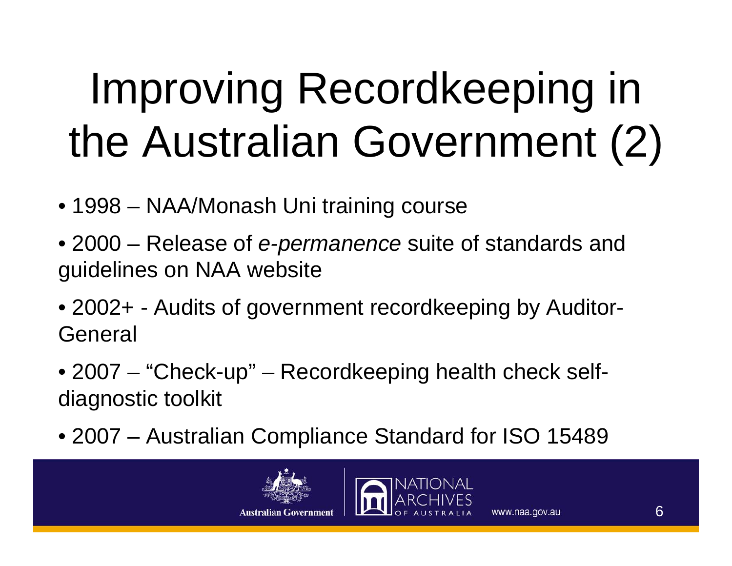## Improving Recordkeeping in the Australian Government (2)

- 1998 NAA/Monash Uni training course
- 2000 Release of *e-permanence* suite of standards and guidelines on NAA website
- 2002+ Audits of government recordkeeping by Auditor-**General**
- 2007 "Check-up" Recordkeeping health check selfdiagnostic toolkit
- 2007 Australian Compliance Standard for ISO 15489



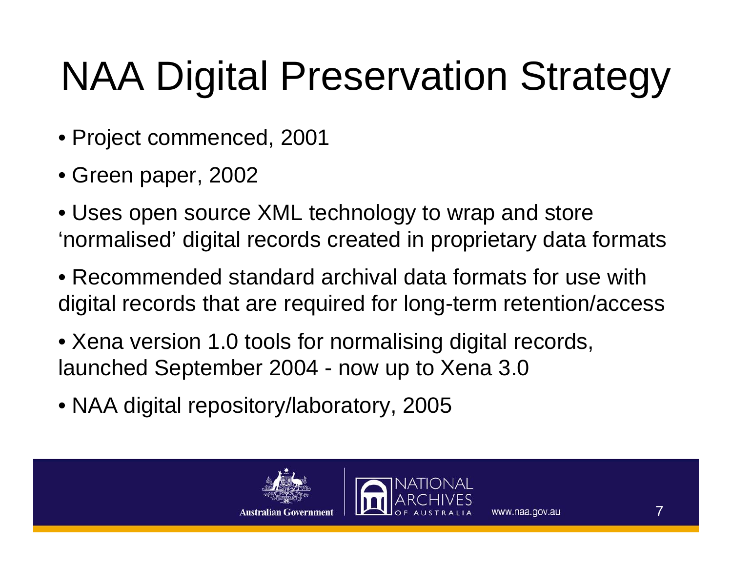#### NAA Digital Preservation Strategy

- Project commenced, 2001
- Green paper, 2002
- Uses open source XML technology to wrap and store 'normalised' digital records created in proprietary data formats
- Recommended standard archival data formats for use with digital records that are required for long-term retention/access
- Xena version 1.0 tools for normalising digital records, launched September 2004 - now up to Xena 3.0
- NAA digital repository/laboratory, 2005



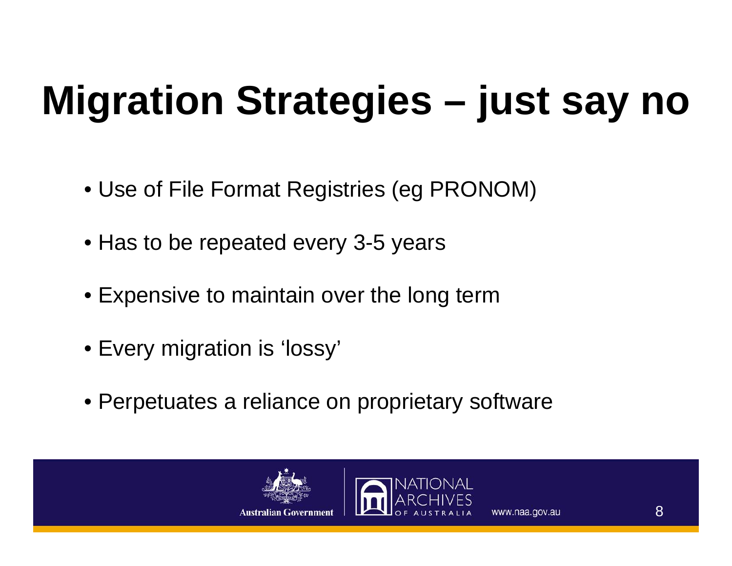#### **Migration Strategies – just say no**

- Use of File Format Registries (eg PRONOM)
- Has to be repeated every 3-5 years
- Expensive to maintain over the long term
- Every migration is 'lossy'
- Perpetuates a reliance on proprietary software



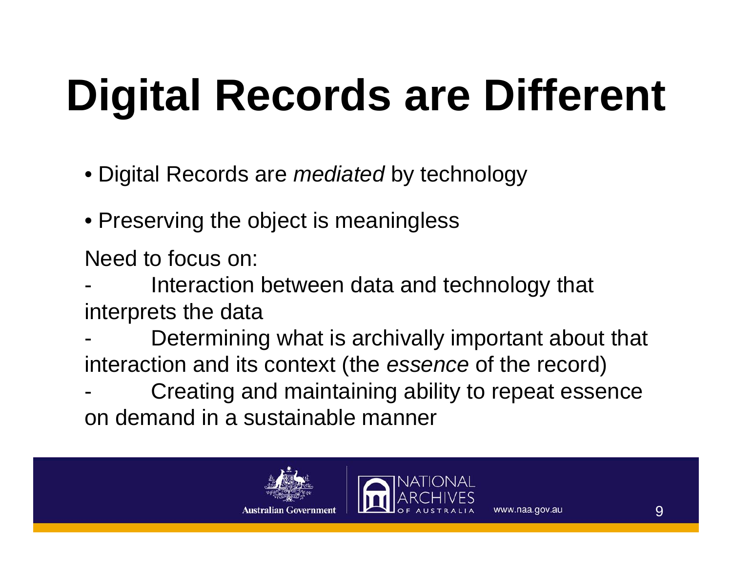## **Digital Records are Different**

- Digital Records are *mediated* by technology
- Preserving the object is meaningless

Need to focus on:

- - Interaction between data and technology that interprets the data
- - Determining what is archivally important about that interaction and its context (the *essence* of the record)
- - Creating and maintaining ability to repeat essence on demand in a sustainable manner



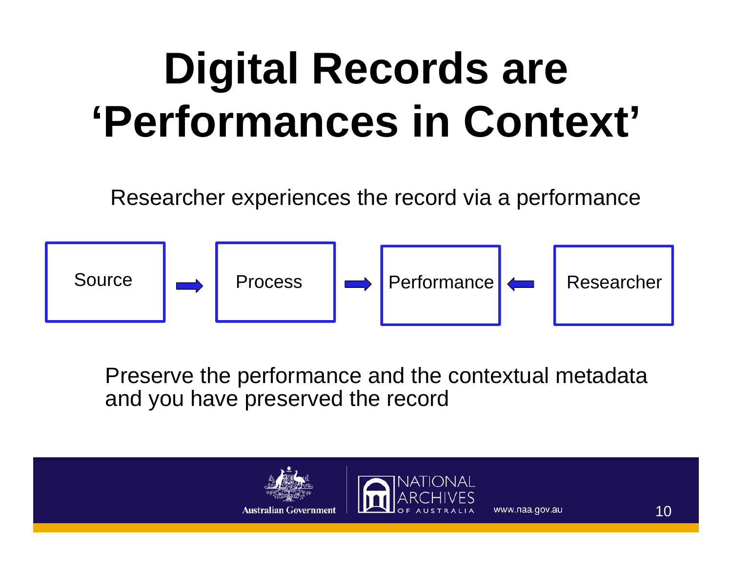### **Digital Records are 'Performances in Context'**

Researcher experiences the record via a performance



Preserve the performance and the contextual metadata and you have preserved the record

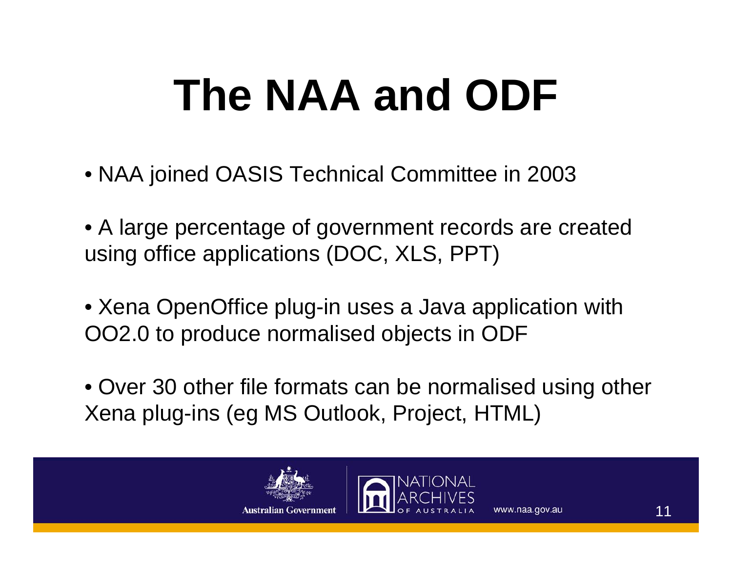## **The NAA and ODF**

- NAA joined OASIS Technical Committee in 2003
- A large percentage of government records are created using office applications (DOC, XLS, PPT)
- Xena OpenOffice plug-in uses a Java application with OO2.0 to produce normalised objects in ODF
- Over 30 other file formats can be normalised using other Xena plug-ins (eg MS Outlook, Project, HTML)



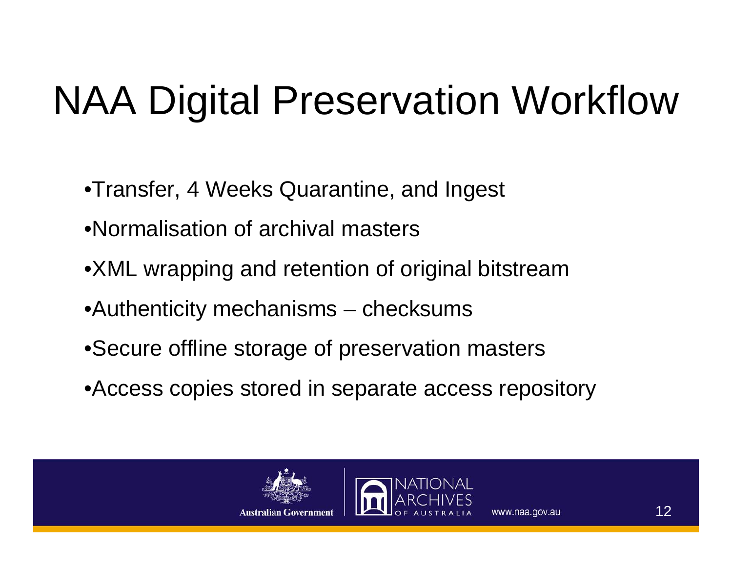#### NAA Digital Preservation Workflow

- •Transfer, 4 Weeks Quarantine, and Ingest
- •Normalisation of archival masters
- •XML wrapping and retention of original bitstream
- •Authenticity mechanisms checksums
- •Secure offline storage of preservation masters
- •Access copies stored in separate access repository



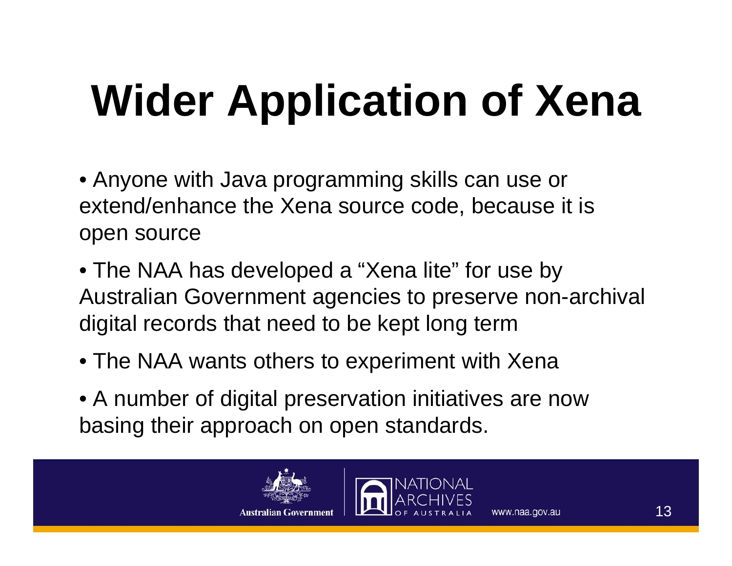# **Wider Application of Xena**

- Anyone with Java programming skills can use or extend/enhance the Xena source code, because it is open source
- The NAA has developed a "Xena lite" for use by Australian Government agencies to preserve non-archival digital records that need to be kept long term
- The NAA wants others to experiment with Xena
- A number of digital preservation initiatives are now basing their approach on open standards.



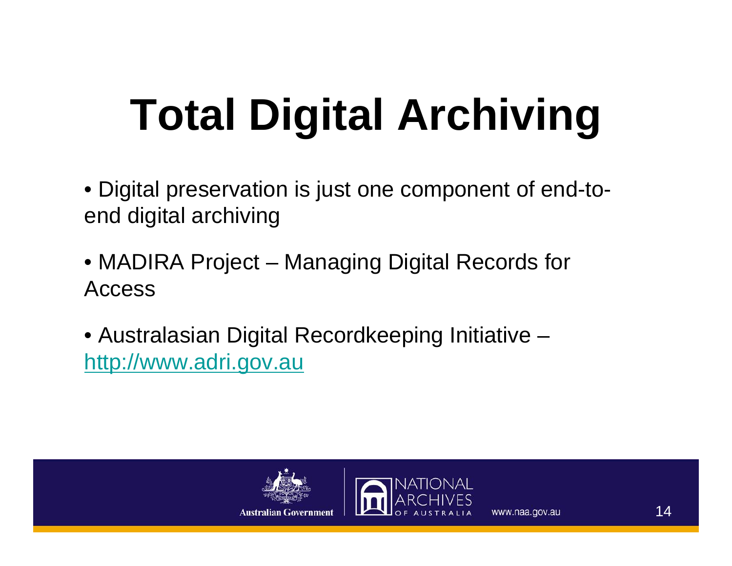## **Total Digital Archiving**

- Digital preservation is just one component of end-toend digital archiving
- MADIRA Project Managing Digital Records for Access
- Australasian Digital Recordkeeping Initiative [http://www.adri.gov.au](http://www.adri.gov.au/)



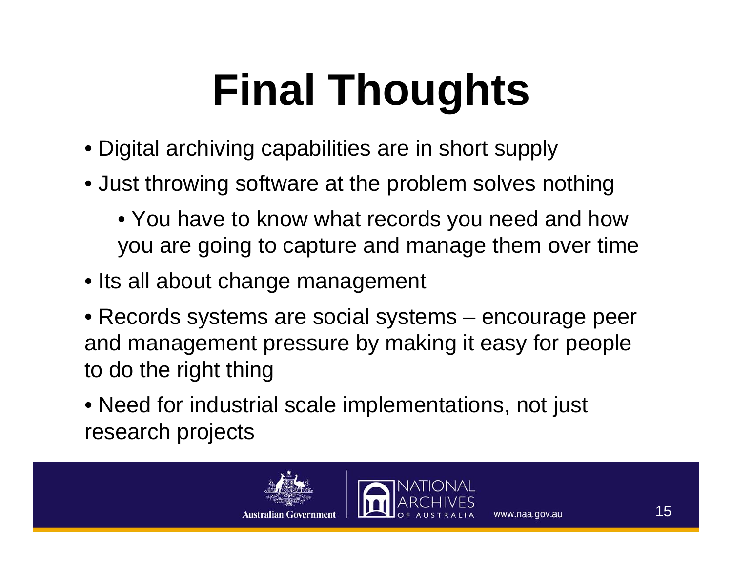## **Final Thoughts**

- Digital archiving capabilities are in short supply
- Just throwing software at the problem solves nothing
	- You have to know what records you need and how you are going to capture and manage them over time
- Its all about change management
- Records systems are social systems encourage peer and management pressure by making it easy for people to do the right thing
- Need for industrial scale implementations, not just research projects



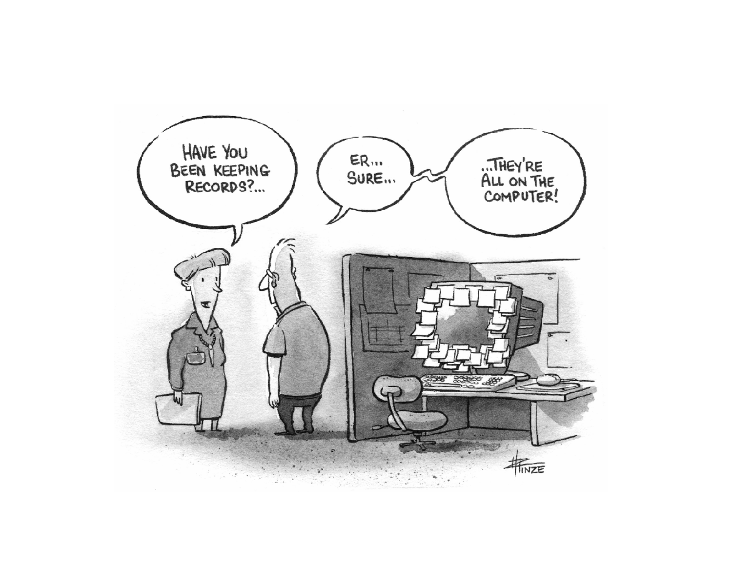